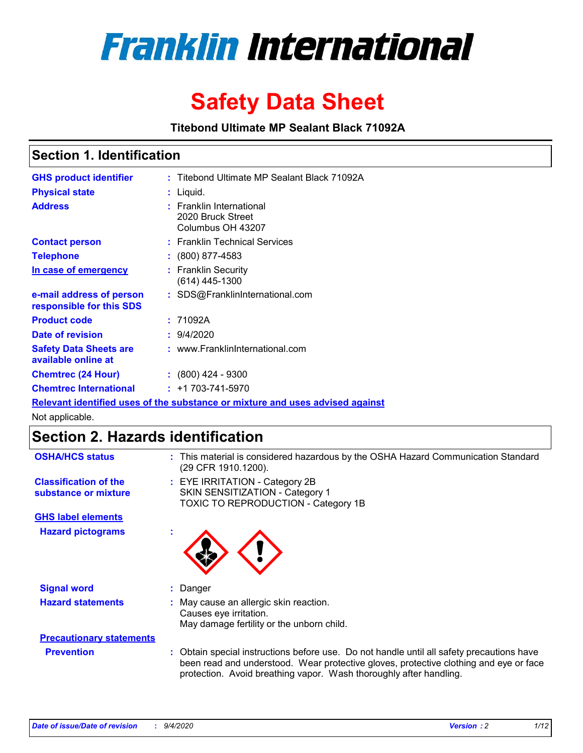

# **Safety Data Sheet**

**Titebond Ultimate MP Sealant Black 71092A**

### **Section 1. Identification**

| <b>GHS product identifier</b>                                                 |  | : Titebond Ultimate MP Sealant Black 71092A                        |  |  |  |
|-------------------------------------------------------------------------------|--|--------------------------------------------------------------------|--|--|--|
| <b>Physical state</b>                                                         |  | $:$ Liquid.                                                        |  |  |  |
| <b>Address</b>                                                                |  | : Franklin International<br>2020 Bruck Street<br>Columbus OH 43207 |  |  |  |
| <b>Contact person</b>                                                         |  | : Franklin Technical Services                                      |  |  |  |
| <b>Telephone</b>                                                              |  | $\colon$ (800) 877-4583                                            |  |  |  |
| In case of emergency                                                          |  | : Franklin Security<br>(614) 445-1300                              |  |  |  |
| e-mail address of person<br>responsible for this SDS                          |  | : SDS@FranklinInternational.com                                    |  |  |  |
| <b>Product code</b>                                                           |  | : 71092A                                                           |  |  |  |
| Date of revision                                                              |  | : 9/4/2020                                                         |  |  |  |
| <b>Safety Data Sheets are</b><br>available online at                          |  | : www.FranklinInternational.com                                    |  |  |  |
| <b>Chemtrec (24 Hour)</b>                                                     |  | $: (800)$ 424 - 9300                                               |  |  |  |
| <b>Chemtrec International</b>                                                 |  | $: +1703 - 741 - 5970$                                             |  |  |  |
| Relevant identified uses of the substance or mixture and uses advised against |  |                                                                    |  |  |  |

Not applicable.

### **Section 2. Hazards identification**

| <b>OSHA/HCS status</b>                               |    | : This material is considered hazardous by the OSHA Hazard Communication Standard<br>(29 CFR 1910.1200).                                                                                                                                                 |  |  |
|------------------------------------------------------|----|----------------------------------------------------------------------------------------------------------------------------------------------------------------------------------------------------------------------------------------------------------|--|--|
| <b>Classification of the</b><br>substance or mixture |    | : EYE IRRITATION - Category 2B<br>SKIN SENSITIZATION - Category 1<br>TOXIC TO REPRODUCTION - Category 1B                                                                                                                                                 |  |  |
| <b>GHS label elements</b>                            |    |                                                                                                                                                                                                                                                          |  |  |
| <b>Hazard pictograms</b>                             | ×. |                                                                                                                                                                                                                                                          |  |  |
| <b>Signal word</b>                                   | ÷. | Danger                                                                                                                                                                                                                                                   |  |  |
| <b>Hazard statements</b>                             |    | May cause an allergic skin reaction.<br>Causes eye irritation.<br>May damage fertility or the unborn child.                                                                                                                                              |  |  |
| <b>Precautionary statements</b>                      |    |                                                                                                                                                                                                                                                          |  |  |
| <b>Prevention</b>                                    |    | : Obtain special instructions before use. Do not handle until all safety precautions have<br>been read and understood. Wear protective gloves, protective clothing and eye or face<br>protection. Avoid breathing vapor. Wash thoroughly after handling. |  |  |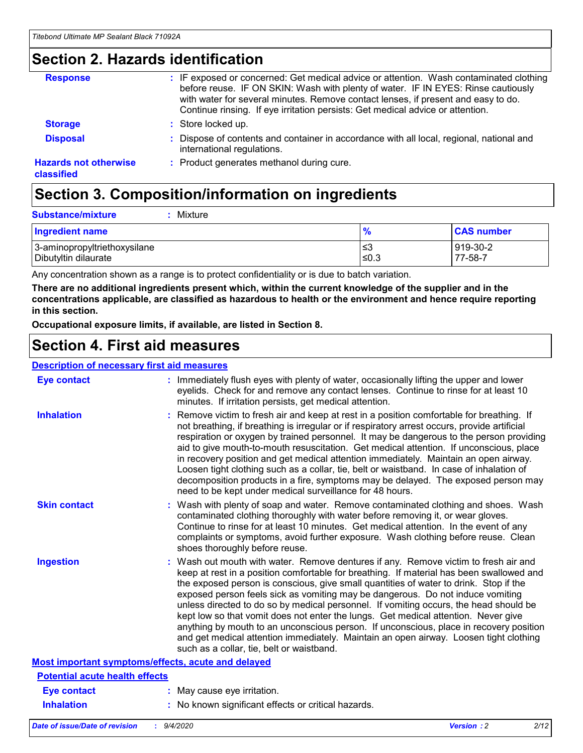### **Section 2. Hazards identification**

| <b>Response</b>                            | : IF exposed or concerned: Get medical advice or attention. Wash contaminated clothing<br>before reuse. IF ON SKIN: Wash with plenty of water. IF IN EYES: Rinse cautiously<br>with water for several minutes. Remove contact lenses, if present and easy to do.<br>Continue rinsing. If eye irritation persists: Get medical advice or attention. |
|--------------------------------------------|----------------------------------------------------------------------------------------------------------------------------------------------------------------------------------------------------------------------------------------------------------------------------------------------------------------------------------------------------|
| <b>Storage</b>                             | : Store locked up.                                                                                                                                                                                                                                                                                                                                 |
| <b>Disposal</b>                            | : Dispose of contents and container in accordance with all local, regional, national and<br>international regulations.                                                                                                                                                                                                                             |
| <b>Hazards not otherwise</b><br>classified | : Product generates methanol during cure.                                                                                                                                                                                                                                                                                                          |

# **Section 3. Composition/information on ingredients**

| <b>Ingredient name</b>       | $\frac{9}{6}$ | <b>CAS number</b> |
|------------------------------|---------------|-------------------|
| 3-aminopropyltriethoxysilane | ≤3            | 919-30-2          |
| Dibutyltin dilaurate         | ∣≤0.3         | 77-58-7           |

Any concentration shown as a range is to protect confidentiality or is due to batch variation.

**There are no additional ingredients present which, within the current knowledge of the supplier and in the concentrations applicable, are classified as hazardous to health or the environment and hence require reporting in this section.**

**Occupational exposure limits, if available, are listed in Section 8.**

### **Section 4. First aid measures**

| <b>Description of necessary first aid measures</b> |                                                                                                                                                                                                                                                                                                                                                                                                                                                                                                                                                                                                                                                                                                                                                                           |
|----------------------------------------------------|---------------------------------------------------------------------------------------------------------------------------------------------------------------------------------------------------------------------------------------------------------------------------------------------------------------------------------------------------------------------------------------------------------------------------------------------------------------------------------------------------------------------------------------------------------------------------------------------------------------------------------------------------------------------------------------------------------------------------------------------------------------------------|
| <b>Eye contact</b>                                 | : Immediately flush eyes with plenty of water, occasionally lifting the upper and lower<br>eyelids. Check for and remove any contact lenses. Continue to rinse for at least 10<br>minutes. If irritation persists, get medical attention.                                                                                                                                                                                                                                                                                                                                                                                                                                                                                                                                 |
| <b>Inhalation</b>                                  | : Remove victim to fresh air and keep at rest in a position comfortable for breathing. If<br>not breathing, if breathing is irregular or if respiratory arrest occurs, provide artificial<br>respiration or oxygen by trained personnel. It may be dangerous to the person providing<br>aid to give mouth-to-mouth resuscitation. Get medical attention. If unconscious, place<br>in recovery position and get medical attention immediately. Maintain an open airway.<br>Loosen tight clothing such as a collar, tie, belt or waistband. In case of inhalation of<br>decomposition products in a fire, symptoms may be delayed. The exposed person may<br>need to be kept under medical surveillance for 48 hours.                                                       |
| <b>Skin contact</b>                                | : Wash with plenty of soap and water. Remove contaminated clothing and shoes. Wash<br>contaminated clothing thoroughly with water before removing it, or wear gloves.<br>Continue to rinse for at least 10 minutes. Get medical attention. In the event of any<br>complaints or symptoms, avoid further exposure. Wash clothing before reuse. Clean<br>shoes thoroughly before reuse.                                                                                                                                                                                                                                                                                                                                                                                     |
| <b>Ingestion</b>                                   | : Wash out mouth with water. Remove dentures if any. Remove victim to fresh air and<br>keep at rest in a position comfortable for breathing. If material has been swallowed and<br>the exposed person is conscious, give small quantities of water to drink. Stop if the<br>exposed person feels sick as vomiting may be dangerous. Do not induce vomiting<br>unless directed to do so by medical personnel. If vomiting occurs, the head should be<br>kept low so that vomit does not enter the lungs. Get medical attention. Never give<br>anything by mouth to an unconscious person. If unconscious, place in recovery position<br>and get medical attention immediately. Maintain an open airway. Loosen tight clothing<br>such as a collar, tie, belt or waistband. |
| Most important symptoms/effects, acute and delayed |                                                                                                                                                                                                                                                                                                                                                                                                                                                                                                                                                                                                                                                                                                                                                                           |
| <b>Potential acute health effects</b>              |                                                                                                                                                                                                                                                                                                                                                                                                                                                                                                                                                                                                                                                                                                                                                                           |
| <b>Eye contact</b>                                 | : May cause eye irritation.                                                                                                                                                                                                                                                                                                                                                                                                                                                                                                                                                                                                                                                                                                                                               |
| <b>Inhalation</b>                                  | : No known significant effects or critical hazards.                                                                                                                                                                                                                                                                                                                                                                                                                                                                                                                                                                                                                                                                                                                       |
|                                                    |                                                                                                                                                                                                                                                                                                                                                                                                                                                                                                                                                                                                                                                                                                                                                                           |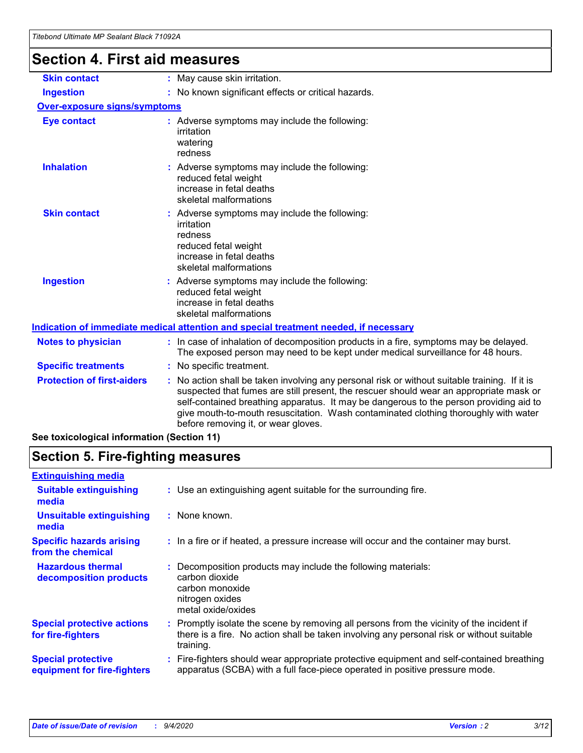# **Section 4. First aid measures**

| <b>Skin contact</b>                 |                                                                                                                                                                          | : May cause skin irritation.                                                                                                                                                                                                                                                                                                                                                                                    |  |  |
|-------------------------------------|--------------------------------------------------------------------------------------------------------------------------------------------------------------------------|-----------------------------------------------------------------------------------------------------------------------------------------------------------------------------------------------------------------------------------------------------------------------------------------------------------------------------------------------------------------------------------------------------------------|--|--|
| <b>Ingestion</b>                    |                                                                                                                                                                          | : No known significant effects or critical hazards.                                                                                                                                                                                                                                                                                                                                                             |  |  |
| <b>Over-exposure signs/symptoms</b> |                                                                                                                                                                          |                                                                                                                                                                                                                                                                                                                                                                                                                 |  |  |
| <b>Eye contact</b>                  |                                                                                                                                                                          | : Adverse symptoms may include the following:<br>irritation<br>watering<br>redness                                                                                                                                                                                                                                                                                                                              |  |  |
| <b>Inhalation</b>                   |                                                                                                                                                                          | : Adverse symptoms may include the following:<br>reduced fetal weight<br>increase in fetal deaths<br>skeletal malformations                                                                                                                                                                                                                                                                                     |  |  |
| <b>Skin contact</b>                 |                                                                                                                                                                          | : Adverse symptoms may include the following:<br>irritation<br>redness<br>reduced fetal weight<br>increase in fetal deaths<br>skeletal malformations                                                                                                                                                                                                                                                            |  |  |
| <b>Ingestion</b>                    |                                                                                                                                                                          | : Adverse symptoms may include the following:<br>reduced fetal weight<br>increase in fetal deaths<br>skeletal malformations                                                                                                                                                                                                                                                                                     |  |  |
|                                     |                                                                                                                                                                          | <u>Indication of immediate medical attention and special treatment needed, if necessary</u>                                                                                                                                                                                                                                                                                                                     |  |  |
| <b>Notes to physician</b>           | : In case of inhalation of decomposition products in a fire, symptoms may be delayed.<br>The exposed person may need to be kept under medical surveillance for 48 hours. |                                                                                                                                                                                                                                                                                                                                                                                                                 |  |  |
| <b>Specific treatments</b>          |                                                                                                                                                                          | : No specific treatment.                                                                                                                                                                                                                                                                                                                                                                                        |  |  |
| <b>Protection of first-aiders</b>   |                                                                                                                                                                          | : No action shall be taken involving any personal risk or without suitable training. If it is<br>suspected that fumes are still present, the rescuer should wear an appropriate mask or<br>self-contained breathing apparatus. It may be dangerous to the person providing aid to<br>give mouth-to-mouth resuscitation. Wash contaminated clothing thoroughly with water<br>before removing it, or wear gloves. |  |  |
|                                     |                                                                                                                                                                          |                                                                                                                                                                                                                                                                                                                                                                                                                 |  |  |

**See toxicological information (Section 11)**

### **Section 5. Fire-fighting measures**

| <b>Extinguishing media</b>                               |                                                                                                                                                                                                     |
|----------------------------------------------------------|-----------------------------------------------------------------------------------------------------------------------------------------------------------------------------------------------------|
| <b>Suitable extinguishing</b><br>media                   | : Use an extinguishing agent suitable for the surrounding fire.                                                                                                                                     |
| <b>Unsuitable extinguishing</b><br>media                 | : None known.                                                                                                                                                                                       |
| <b>Specific hazards arising</b><br>from the chemical     | : In a fire or if heated, a pressure increase will occur and the container may burst.                                                                                                               |
| <b>Hazardous thermal</b><br>decomposition products       | Decomposition products may include the following materials:<br>carbon dioxide<br>carbon monoxide<br>nitrogen oxides<br>metal oxide/oxides                                                           |
| <b>Special protective actions</b><br>for fire-fighters   | : Promptly isolate the scene by removing all persons from the vicinity of the incident if<br>there is a fire. No action shall be taken involving any personal risk or without suitable<br>training. |
| <b>Special protective</b><br>equipment for fire-fighters | : Fire-fighters should wear appropriate protective equipment and self-contained breathing<br>apparatus (SCBA) with a full face-piece operated in positive pressure mode.                            |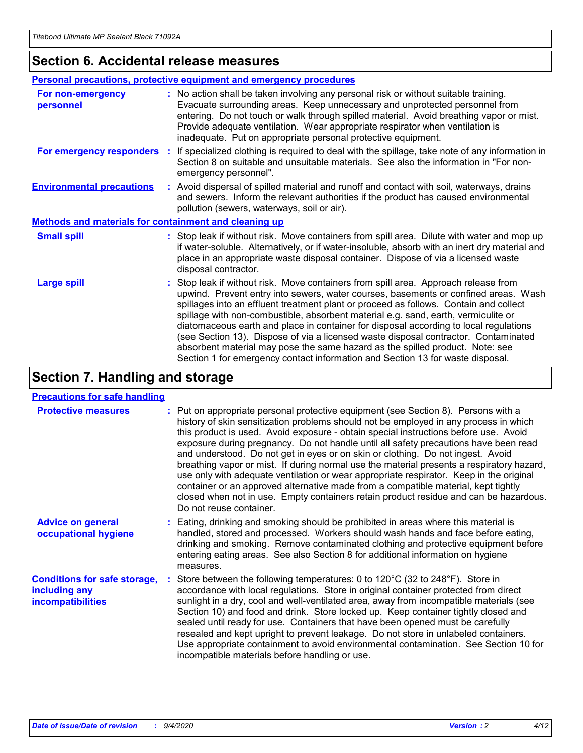### **Section 6. Accidental release measures**

|                                                              | <b>Personal precautions, protective equipment and emergency procedures</b>                                                                                                                                                                                                                                                                                                                                                                                                                                                                                                                                                                                                                                   |  |  |  |
|--------------------------------------------------------------|--------------------------------------------------------------------------------------------------------------------------------------------------------------------------------------------------------------------------------------------------------------------------------------------------------------------------------------------------------------------------------------------------------------------------------------------------------------------------------------------------------------------------------------------------------------------------------------------------------------------------------------------------------------------------------------------------------------|--|--|--|
| For non-emergency<br>personnel                               | : No action shall be taken involving any personal risk or without suitable training.<br>Evacuate surrounding areas. Keep unnecessary and unprotected personnel from<br>entering. Do not touch or walk through spilled material. Avoid breathing vapor or mist.<br>Provide adequate ventilation. Wear appropriate respirator when ventilation is<br>inadequate. Put on appropriate personal protective equipment.                                                                                                                                                                                                                                                                                             |  |  |  |
| For emergency responders                                     | : If specialized clothing is required to deal with the spillage, take note of any information in<br>Section 8 on suitable and unsuitable materials. See also the information in "For non-<br>emergency personnel".                                                                                                                                                                                                                                                                                                                                                                                                                                                                                           |  |  |  |
| <b>Environmental precautions</b>                             | : Avoid dispersal of spilled material and runoff and contact with soil, waterways, drains<br>and sewers. Inform the relevant authorities if the product has caused environmental<br>pollution (sewers, waterways, soil or air).                                                                                                                                                                                                                                                                                                                                                                                                                                                                              |  |  |  |
| <b>Methods and materials for containment and cleaning up</b> |                                                                                                                                                                                                                                                                                                                                                                                                                                                                                                                                                                                                                                                                                                              |  |  |  |
| <b>Small spill</b>                                           | : Stop leak if without risk. Move containers from spill area. Dilute with water and mop up<br>if water-soluble. Alternatively, or if water-insoluble, absorb with an inert dry material and<br>place in an appropriate waste disposal container. Dispose of via a licensed waste<br>disposal contractor.                                                                                                                                                                                                                                                                                                                                                                                                     |  |  |  |
| <b>Large spill</b>                                           | : Stop leak if without risk. Move containers from spill area. Approach release from<br>upwind. Prevent entry into sewers, water courses, basements or confined areas. Wash<br>spillages into an effluent treatment plant or proceed as follows. Contain and collect<br>spillage with non-combustible, absorbent material e.g. sand, earth, vermiculite or<br>diatomaceous earth and place in container for disposal according to local regulations<br>(see Section 13). Dispose of via a licensed waste disposal contractor. Contaminated<br>absorbent material may pose the same hazard as the spilled product. Note: see<br>Section 1 for emergency contact information and Section 13 for waste disposal. |  |  |  |

### **Section 7. Handling and storage**

#### **Precautions for safe handling**

| <b>Protective measures</b>                                                       | : Put on appropriate personal protective equipment (see Section 8). Persons with a<br>history of skin sensitization problems should not be employed in any process in which<br>this product is used. Avoid exposure - obtain special instructions before use. Avoid<br>exposure during pregnancy. Do not handle until all safety precautions have been read<br>and understood. Do not get in eyes or on skin or clothing. Do not ingest. Avoid<br>breathing vapor or mist. If during normal use the material presents a respiratory hazard,<br>use only with adequate ventilation or wear appropriate respirator. Keep in the original<br>container or an approved alternative made from a compatible material, kept tightly<br>closed when not in use. Empty containers retain product residue and can be hazardous.<br>Do not reuse container. |
|----------------------------------------------------------------------------------|--------------------------------------------------------------------------------------------------------------------------------------------------------------------------------------------------------------------------------------------------------------------------------------------------------------------------------------------------------------------------------------------------------------------------------------------------------------------------------------------------------------------------------------------------------------------------------------------------------------------------------------------------------------------------------------------------------------------------------------------------------------------------------------------------------------------------------------------------|
| <b>Advice on general</b><br>occupational hygiene                                 | : Eating, drinking and smoking should be prohibited in areas where this material is<br>handled, stored and processed. Workers should wash hands and face before eating,<br>drinking and smoking. Remove contaminated clothing and protective equipment before<br>entering eating areas. See also Section 8 for additional information on hygiene<br>measures.                                                                                                                                                                                                                                                                                                                                                                                                                                                                                    |
| <b>Conditions for safe storage,</b><br>including any<br><i>incompatibilities</i> | Store between the following temperatures: 0 to 120°C (32 to 248°F). Store in<br>accordance with local regulations. Store in original container protected from direct<br>sunlight in a dry, cool and well-ventilated area, away from incompatible materials (see<br>Section 10) and food and drink. Store locked up. Keep container tightly closed and<br>sealed until ready for use. Containers that have been opened must be carefully<br>resealed and kept upright to prevent leakage. Do not store in unlabeled containers.<br>Use appropriate containment to avoid environmental contamination. See Section 10 for<br>incompatible materials before handling or use.                                                                                                                                                                         |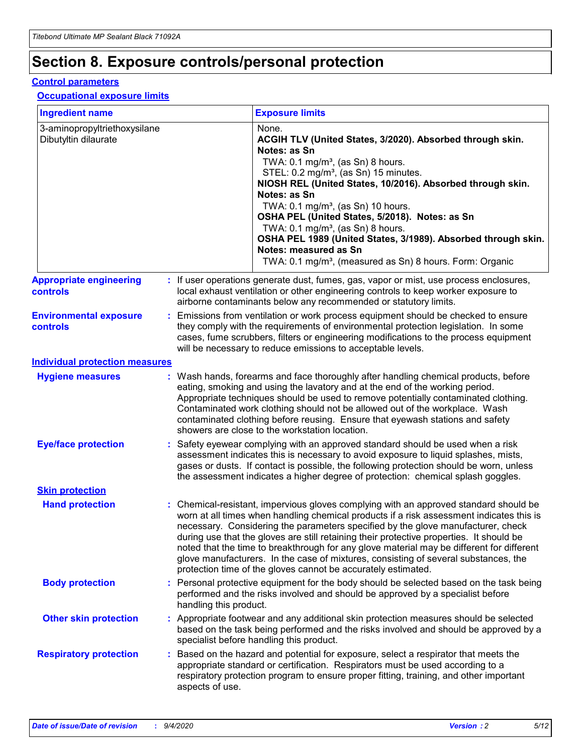## **Section 8. Exposure controls/personal protection**

#### **Control parameters**

#### **Occupational exposure limits**

| <b>Ingredient name</b>                               |    |                        | <b>Exposure limits</b>                                                                                                                                                                                                                                                                                                                                                                                                                                                                                                                                                                                                 |
|------------------------------------------------------|----|------------------------|------------------------------------------------------------------------------------------------------------------------------------------------------------------------------------------------------------------------------------------------------------------------------------------------------------------------------------------------------------------------------------------------------------------------------------------------------------------------------------------------------------------------------------------------------------------------------------------------------------------------|
| 3-aminopropyltriethoxysilane<br>Dibutyltin dilaurate |    |                        | None.<br>ACGIH TLV (United States, 3/2020). Absorbed through skin.<br>Notes: as Sn<br>TWA: 0.1 mg/m <sup>3</sup> , (as Sn) 8 hours.<br>STEL: 0.2 mg/m <sup>3</sup> , (as Sn) 15 minutes.<br>NIOSH REL (United States, 10/2016). Absorbed through skin.<br>Notes: as Sn<br>TWA: 0.1 mg/m <sup>3</sup> , (as Sn) 10 hours.<br>OSHA PEL (United States, 5/2018). Notes: as Sn<br>TWA: $0.1 \text{ mg/m}^3$ , (as Sn) 8 hours.<br>OSHA PEL 1989 (United States, 3/1989). Absorbed through skin.<br>Notes: measured as Sn<br>TWA: 0.1 mg/m <sup>3</sup> , (measured as Sn) 8 hours. Form: Organic                           |
| <b>Appropriate engineering</b><br>controls           |    |                        | : If user operations generate dust, fumes, gas, vapor or mist, use process enclosures,<br>local exhaust ventilation or other engineering controls to keep worker exposure to<br>airborne contaminants below any recommended or statutory limits.                                                                                                                                                                                                                                                                                                                                                                       |
| <b>Environmental exposure</b><br><b>controls</b>     |    |                        | Emissions from ventilation or work process equipment should be checked to ensure<br>they comply with the requirements of environmental protection legislation. In some<br>cases, fume scrubbers, filters or engineering modifications to the process equipment<br>will be necessary to reduce emissions to acceptable levels.                                                                                                                                                                                                                                                                                          |
| <b>Individual protection measures</b>                |    |                        |                                                                                                                                                                                                                                                                                                                                                                                                                                                                                                                                                                                                                        |
| <b>Hygiene measures</b>                              |    |                        | : Wash hands, forearms and face thoroughly after handling chemical products, before<br>eating, smoking and using the lavatory and at the end of the working period.<br>Appropriate techniques should be used to remove potentially contaminated clothing.<br>Contaminated work clothing should not be allowed out of the workplace. Wash<br>contaminated clothing before reusing. Ensure that eyewash stations and safety<br>showers are close to the workstation location.                                                                                                                                            |
| <b>Eye/face protection</b>                           |    |                        | : Safety eyewear complying with an approved standard should be used when a risk<br>assessment indicates this is necessary to avoid exposure to liquid splashes, mists,<br>gases or dusts. If contact is possible, the following protection should be worn, unless<br>the assessment indicates a higher degree of protection: chemical splash goggles.                                                                                                                                                                                                                                                                  |
| <b>Skin protection</b>                               |    |                        |                                                                                                                                                                                                                                                                                                                                                                                                                                                                                                                                                                                                                        |
| <b>Hand protection</b>                               |    |                        | : Chemical-resistant, impervious gloves complying with an approved standard should be<br>worn at all times when handling chemical products if a risk assessment indicates this is<br>necessary. Considering the parameters specified by the glove manufacturer, check<br>during use that the gloves are still retaining their protective properties. It should be<br>noted that the time to breakthrough for any glove material may be different for different<br>glove manufacturers. In the case of mixtures, consisting of several substances, the<br>protection time of the gloves cannot be accurately estimated. |
| <b>Body protection</b>                               |    | handling this product. | Personal protective equipment for the body should be selected based on the task being<br>performed and the risks involved and should be approved by a specialist before                                                                                                                                                                                                                                                                                                                                                                                                                                                |
| <b>Other skin protection</b>                         |    |                        | : Appropriate footwear and any additional skin protection measures should be selected<br>based on the task being performed and the risks involved and should be approved by a<br>specialist before handling this product.                                                                                                                                                                                                                                                                                                                                                                                              |
| <b>Respiratory protection</b>                        | ÷. | aspects of use.        | Based on the hazard and potential for exposure, select a respirator that meets the<br>appropriate standard or certification. Respirators must be used according to a<br>respiratory protection program to ensure proper fitting, training, and other important                                                                                                                                                                                                                                                                                                                                                         |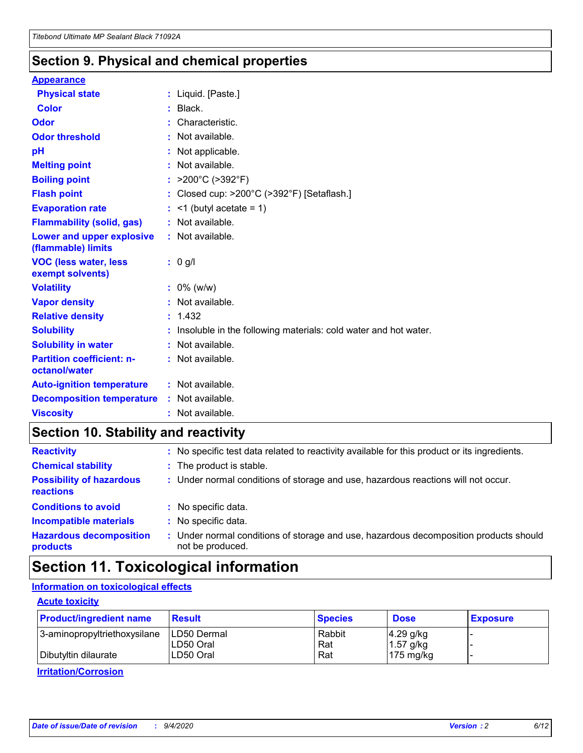### **Section 9. Physical and chemical properties**

#### **Appearance**

| <b>Physical state</b>                             | : Liquid. [Paste.]                                                |
|---------------------------------------------------|-------------------------------------------------------------------|
| <b>Color</b>                                      | Black.                                                            |
| Odor                                              | Characteristic.                                                   |
| <b>Odor threshold</b>                             | : Not available.                                                  |
| рH                                                | : Not applicable.                                                 |
| <b>Melting point</b>                              | : Not available.                                                  |
| <b>Boiling point</b>                              | : $>200^{\circ}$ C ( $>392^{\circ}$ F)                            |
| <b>Flash point</b>                                | : Closed cup: >200°C (>392°F) [Setaflash.]                        |
| <b>Evaporation rate</b>                           | $:$ <1 (butyl acetate = 1)                                        |
| <b>Flammability (solid, gas)</b>                  | : Not available.                                                  |
| Lower and upper explosive<br>(flammable) limits   | : Not available.                                                  |
| <b>VOC (less water, less</b><br>exempt solvents)  | : 0 g/l                                                           |
| <b>Volatility</b>                                 | $: 0\%$ (w/w)                                                     |
| <b>Vapor density</b>                              | : Not available.                                                  |
| <b>Relative density</b>                           | : 1.432                                                           |
| <b>Solubility</b>                                 | : Insoluble in the following materials: cold water and hot water. |
| <b>Solubility in water</b>                        | : Not available.                                                  |
| <b>Partition coefficient: n-</b><br>octanol/water | : Not available.                                                  |
| <b>Auto-ignition temperature</b>                  | $:$ Not available.                                                |
| <b>Decomposition temperature</b>                  | : Not available.                                                  |
| <b>Viscosity</b>                                  | $:$ Not available.                                                |

### **Section 10. Stability and reactivity**

| <b>Reactivity</b>                            |    | : No specific test data related to reactivity available for this product or its ingredients.            |
|----------------------------------------------|----|---------------------------------------------------------------------------------------------------------|
| <b>Chemical stability</b>                    |    | : The product is stable.                                                                                |
| <b>Possibility of hazardous</b><br>reactions |    | : Under normal conditions of storage and use, hazardous reactions will not occur.                       |
| <b>Conditions to avoid</b>                   |    | : No specific data.                                                                                     |
| <b>Incompatible materials</b>                | ÷. | No specific data.                                                                                       |
| <b>Hazardous decomposition</b><br>products   |    | Under normal conditions of storage and use, hazardous decomposition products should<br>not be produced. |

### **Section 11. Toxicological information**

### **Information on toxicological effects**

#### **Acute toxicity**

| <b>Product/ingredient name</b> | <b>Result</b>           | <b>Species</b> | <b>Dose</b>                | <b>Exposure</b> |
|--------------------------------|-------------------------|----------------|----------------------------|-----------------|
| 3-aminopropyltriethoxysilane   | <b>ILD50 Dermal</b>     | Rabbit         | 4.29 g/kg                  |                 |
| Dibutyltin dilaurate           | ILD50 Oral<br>LD50 Oral | Rat<br>Rat     | $1.57$ g/kg<br>175 $mg/kg$ |                 |
|                                |                         |                |                            |                 |

**Irritation/Corrosion**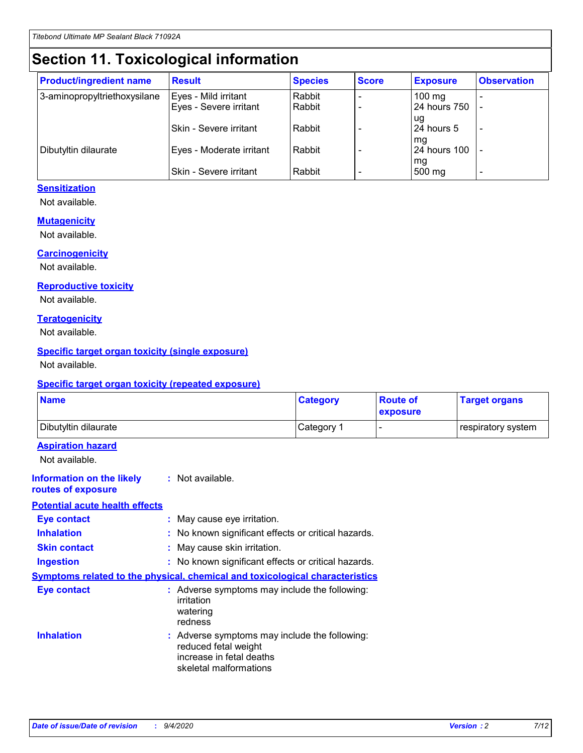# **Section 11. Toxicological information**

| <b>Product/ingredient name</b> | <b>Result</b>                 | <b>Species</b> | <b>Score</b> | <b>Exposure</b>    | <b>Observation</b> |
|--------------------------------|-------------------------------|----------------|--------------|--------------------|--------------------|
| 3-aminopropyltriethoxysilane   | Eyes - Mild irritant          | Rabbit         |              | $100 \text{ mg}$   |                    |
|                                | Eyes - Severe irritant        | Rabbit         |              | 24 hours 750       |                    |
|                                |                               |                |              | ug                 |                    |
|                                | ISkin - Severe irritant       | Rabbit         |              | 24 hours 5         |                    |
|                                |                               | Rabbit         |              | mq<br>24 hours 100 |                    |
| Dibutyltin dilaurate           | Eyes - Moderate irritant      |                |              | mg                 |                    |
|                                | <b>Skin - Severe irritant</b> | Rabbit         |              | 500 mg             |                    |

#### **Sensitization**

Not available.

#### **Mutagenicity**

Not available.

#### **Carcinogenicity**

Not available.

#### **Reproductive toxicity**

Not available.

#### **Teratogenicity**

Not available.

#### **Specific target organ toxicity (single exposure)**

Not available.

#### **Specific target organ toxicity (repeated exposure)**

| <b>Name</b>                                                                  |                                                                            | <b>Category</b>                                     | <b>Route of</b><br>exposure | <b>Target organs</b> |
|------------------------------------------------------------------------------|----------------------------------------------------------------------------|-----------------------------------------------------|-----------------------------|----------------------|
| Dibutyltin dilaurate                                                         |                                                                            | Category 1                                          | -                           | respiratory system   |
| <b>Aspiration hazard</b><br>Not available.                                   |                                                                            |                                                     |                             |                      |
| <b>Information on the likely</b><br>routes of exposure                       | : Not available.                                                           |                                                     |                             |                      |
| <b>Potential acute health effects</b>                                        |                                                                            |                                                     |                             |                      |
| <b>Eye contact</b>                                                           | : May cause eye irritation.                                                |                                                     |                             |                      |
| <b>Inhalation</b>                                                            |                                                                            | : No known significant effects or critical hazards. |                             |                      |
| <b>Skin contact</b>                                                          | : May cause skin irritation.                                               |                                                     |                             |                      |
| <b>Ingestion</b>                                                             |                                                                            | : No known significant effects or critical hazards. |                             |                      |
| Symptoms related to the physical, chemical and toxicological characteristics |                                                                            |                                                     |                             |                      |
| <b>Eye contact</b>                                                           | irritation<br>watering<br>redness                                          | : Adverse symptoms may include the following:       |                             |                      |
| <b>Inhalation</b>                                                            | reduced fetal weight<br>increase in fetal deaths<br>skeletal malformations | : Adverse symptoms may include the following:       |                             |                      |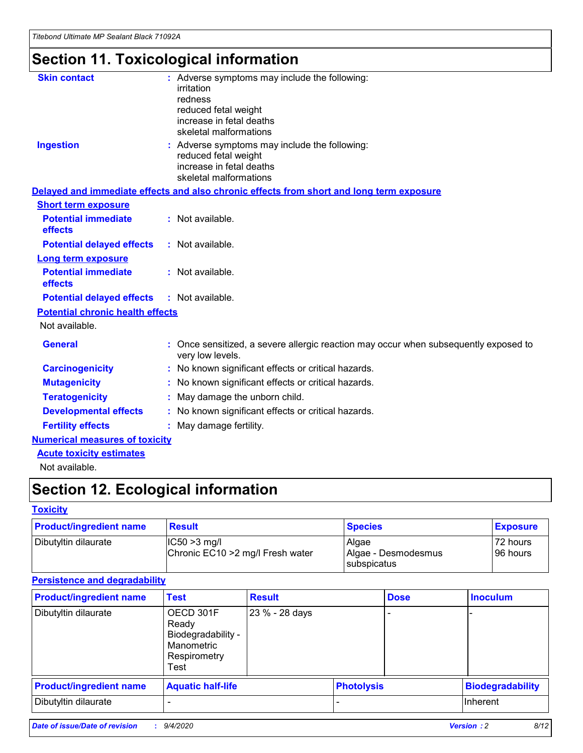# **Section 11. Toxicological information**

| <b>Skin contact</b>                     | : Adverse symptoms may include the following:<br>irritation                                              |
|-----------------------------------------|----------------------------------------------------------------------------------------------------------|
|                                         | redness                                                                                                  |
|                                         | reduced fetal weight                                                                                     |
|                                         | increase in fetal deaths                                                                                 |
|                                         | skeletal malformations                                                                                   |
| <b>Ingestion</b>                        | : Adverse symptoms may include the following:<br>reduced fetal weight                                    |
|                                         | increase in fetal deaths                                                                                 |
|                                         | skeletal malformations                                                                                   |
|                                         | Delayed and immediate effects and also chronic effects from short and long term exposure                 |
| <b>Short term exposure</b>              |                                                                                                          |
| <b>Potential immediate</b><br>effects   | : Not available.                                                                                         |
| <b>Potential delayed effects</b>        | : Not available.                                                                                         |
| Long term exposure                      |                                                                                                          |
| <b>Potential immediate</b>              | : Not available.                                                                                         |
| effects                                 |                                                                                                          |
| <b>Potential delayed effects</b>        | : Not available.                                                                                         |
| <b>Potential chronic health effects</b> |                                                                                                          |
| Not available.                          |                                                                                                          |
| <b>General</b>                          | : Once sensitized, a severe allergic reaction may occur when subsequently exposed to<br>very low levels. |
| <b>Carcinogenicity</b>                  | : No known significant effects or critical hazards.                                                      |
| <b>Mutagenicity</b>                     | No known significant effects or critical hazards.                                                        |
| <b>Teratogenicity</b>                   | May damage the unborn child.                                                                             |
| <b>Developmental effects</b>            | : No known significant effects or critical hazards.                                                      |
| <b>Fertility effects</b>                | : May damage fertility.                                                                                  |
| <b>Numerical measures of toxicity</b>   |                                                                                                          |
| <b>Acute toxicity estimates</b>         |                                                                                                          |
| .                                       |                                                                                                          |

Not available.

## **Section 12. Ecological information**

#### **Toxicity**

| <b>Product/ingredient name</b> | <b>Result</b>                                       | <b>Species</b>               | <b>Exposure</b>       |
|--------------------------------|-----------------------------------------------------|------------------------------|-----------------------|
| Dibutyltin dilaurate           | $ CC50>3$ mg/l<br>Chronic EC10 > 2 mg/l Fresh water | Algae<br>Algae - Desmodesmus | 72 hours<br>196 hours |
|                                |                                                     | <b>I</b> subspicatus         |                       |

#### **Persistence and degradability**

| <b>Product/ingredient name</b> | <b>Test</b>                                                                    | <b>Result</b>  |                   | <b>Dose</b> | <b>Inoculum</b>         |
|--------------------------------|--------------------------------------------------------------------------------|----------------|-------------------|-------------|-------------------------|
| Dibutyltin dilaurate           | OECD 301F<br>Ready<br>Biodegradability -<br>Manometric<br>Respirometry<br>Test | 23 % - 28 days |                   |             |                         |
| <b>Product/ingredient name</b> | <b>Aquatic half-life</b>                                                       |                | <b>Photolysis</b> |             | <b>Biodegradability</b> |
| Dibutyltin dilaurate           |                                                                                |                |                   |             | <b>Inherent</b>         |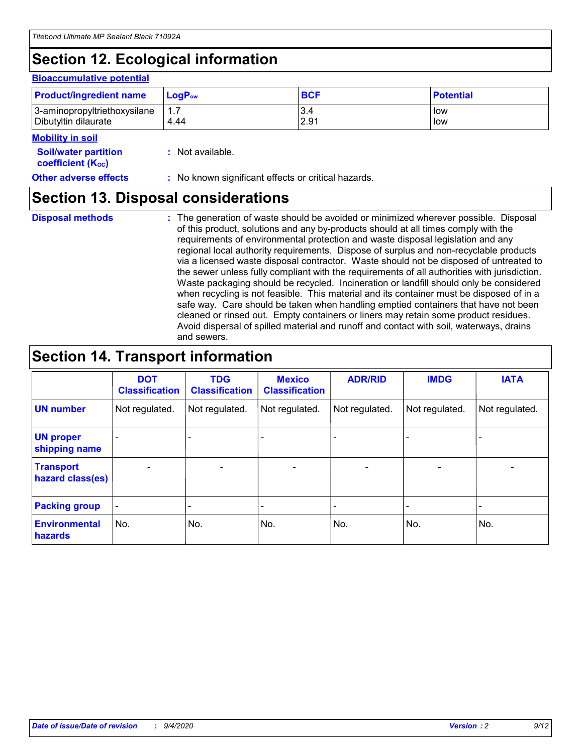# **Section 12. Ecological information**

#### **Bioaccumulative potential**

| <b>Product/ingredient name</b> | <b>LogP</b> <sub>ow</sub> | <b>BCF</b> | <b>Potential</b> |
|--------------------------------|---------------------------|------------|------------------|
| 3-aminopropyltriethoxysilane   | 4.44                      | 3.4        | low              |
| Dibutyltin dilaurate           |                           | 2.91       | low              |

#### **Mobility in soil**

| <b>Soil/water partition</b>           | : Not available. |
|---------------------------------------|------------------|
| <b>coefficient</b> (K <sub>oc</sub> ) |                  |

| <b>Other adverse effects</b> | : No known significant effects or critical hazards. |
|------------------------------|-----------------------------------------------------|
|------------------------------|-----------------------------------------------------|

### **Section 13. Disposal considerations**

**Disposal methods :**

The generation of waste should be avoided or minimized wherever possible. Disposal of this product, solutions and any by-products should at all times comply with the requirements of environmental protection and waste disposal legislation and any regional local authority requirements. Dispose of surplus and non-recyclable products via a licensed waste disposal contractor. Waste should not be disposed of untreated to the sewer unless fully compliant with the requirements of all authorities with jurisdiction. Waste packaging should be recycled. Incineration or landfill should only be considered when recycling is not feasible. This material and its container must be disposed of in a safe way. Care should be taken when handling emptied containers that have not been cleaned or rinsed out. Empty containers or liners may retain some product residues. Avoid dispersal of spilled material and runoff and contact with soil, waterways, drains and sewers.

### **Section 14. Transport information**

|                                      | <b>DOT</b><br><b>Classification</b> | <b>TDG</b><br><b>Classification</b> | <b>Mexico</b><br><b>Classification</b> | <b>ADR/RID</b>           | <b>IMDG</b>              | <b>IATA</b>    |
|--------------------------------------|-------------------------------------|-------------------------------------|----------------------------------------|--------------------------|--------------------------|----------------|
| <b>UN number</b>                     | Not regulated.                      | Not regulated.                      | Not regulated.                         | Not regulated.           | Not regulated.           | Not regulated. |
| <b>UN proper</b><br>shipping name    |                                     |                                     |                                        |                          |                          |                |
| <b>Transport</b><br>hazard class(es) |                                     | $\overline{\phantom{0}}$            | $\qquad \qquad \blacksquare$           | $\overline{\phantom{0}}$ | $\overline{\phantom{0}}$ |                |
| <b>Packing group</b>                 |                                     |                                     |                                        |                          |                          |                |
| <b>Environmental</b><br>hazards      | No.                                 | No.                                 | No.                                    | No.                      | No.                      | No.            |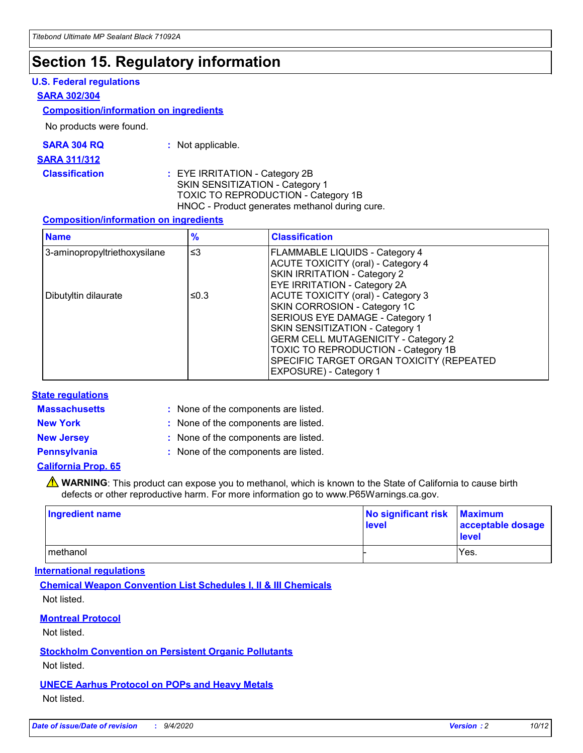### **Section 15. Regulatory information**

#### **U.S. Federal regulations**

#### **SARA 302/304**

#### **Composition/information on ingredients**

No products were found.

| SARA 304 RQ | Not applicable. |
|-------------|-----------------|
|-------------|-----------------|

#### **SARA 311/312**

#### **Classification :** EYE IRRITATION - Category 2B SKIN SENSITIZATION - Category 1 TOXIC TO REPRODUCTION - Category 1B HNOC - Product generates methanol during cure.

#### **Composition/information on ingredients**

| <b>Name</b>                  | $\frac{9}{6}$ | <b>Classification</b>                                                                                                                                                                                                                                                                                      |
|------------------------------|---------------|------------------------------------------------------------------------------------------------------------------------------------------------------------------------------------------------------------------------------------------------------------------------------------------------------------|
| 3-aminopropyltriethoxysilane | $\leq$ 3      | <b>FLAMMABLE LIQUIDS - Category 4</b><br><b>ACUTE TOXICITY (oral) - Category 4</b><br><b>SKIN IRRITATION - Category 2</b><br>EYE IRRITATION - Category 2A                                                                                                                                                  |
| Dibutyltin dilaurate         | ≤0.3          | <b>ACUTE TOXICITY (oral) - Category 3</b><br>SKIN CORROSION - Category 1C<br>SERIOUS EYE DAMAGE - Category 1<br>SKIN SENSITIZATION - Category 1<br><b>GERM CELL MUTAGENICITY - Category 2</b><br>TOXIC TO REPRODUCTION - Category 1B<br>SPECIFIC TARGET ORGAN TOXICITY (REPEATED<br>EXPOSURE) - Category 1 |

#### **State regulations**

**Massachusetts :**

: None of the components are listed.

**New York :** None of the components are listed. **New Jersey :** None of the components are listed.

**Pennsylvania :** None of the components are listed.

#### **California Prop. 65**

WARNING: This product can expose you to methanol, which is known to the State of California to cause birth defects or other reproductive harm. For more information go to www.P65Warnings.ca.gov.

| Ingredient name | No significant risk<br>level | <b>Maximum</b><br>acceptable dosage<br>level |
|-----------------|------------------------------|----------------------------------------------|
| methanol        |                              | Yes.                                         |

#### **International regulations**

**Chemical Weapon Convention List Schedules I, II & III Chemicals** Not listed.

#### **Montreal Protocol**

Not listed.

**Stockholm Convention on Persistent Organic Pollutants**

Not listed.

#### **UNECE Aarhus Protocol on POPs and Heavy Metals** Not listed.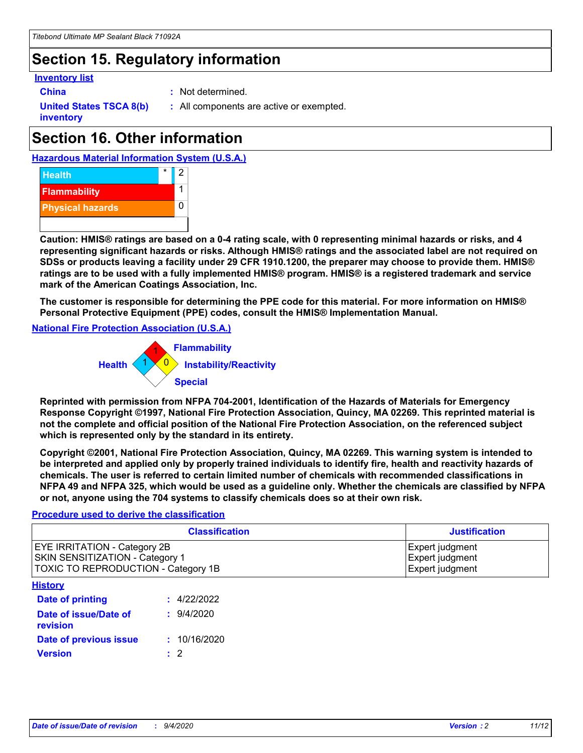### **Section 15. Regulatory information**

#### **Inventory list**

**China :** Not determined.

**United States TSCA 8(b) inventory**

**:** All components are active or exempted.

### **Section 16. Other information**





**Caution: HMIS® ratings are based on a 0-4 rating scale, with 0 representing minimal hazards or risks, and 4 representing significant hazards or risks. Although HMIS® ratings and the associated label are not required on SDSs or products leaving a facility under 29 CFR 1910.1200, the preparer may choose to provide them. HMIS® ratings are to be used with a fully implemented HMIS® program. HMIS® is a registered trademark and service mark of the American Coatings Association, Inc.**

**The customer is responsible for determining the PPE code for this material. For more information on HMIS® Personal Protective Equipment (PPE) codes, consult the HMIS® Implementation Manual.**

**National Fire Protection Association (U.S.A.)**



**Reprinted with permission from NFPA 704-2001, Identification of the Hazards of Materials for Emergency Response Copyright ©1997, National Fire Protection Association, Quincy, MA 02269. This reprinted material is not the complete and official position of the National Fire Protection Association, on the referenced subject which is represented only by the standard in its entirety.**

**Copyright ©2001, National Fire Protection Association, Quincy, MA 02269. This warning system is intended to be interpreted and applied only by properly trained individuals to identify fire, health and reactivity hazards of chemicals. The user is referred to certain limited number of chemicals with recommended classifications in NFPA 49 and NFPA 325, which would be used as a guideline only. Whether the chemicals are classified by NFPA or not, anyone using the 704 systems to classify chemicals does so at their own risk.**

#### **Procedure used to derive the classification**

| <b>Classification</b>                                                                                                | <b>Justification</b>                                  |
|----------------------------------------------------------------------------------------------------------------------|-------------------------------------------------------|
| <b>EYE IRRITATION - Category 2B</b><br><b>SKIN SENSITIZATION - Category 1</b><br>TOXIC TO REPRODUCTION - Category 1B | Expert judgment<br>Expert judgment<br>Expert judgment |
| <b>History</b>                                                                                                       |                                                       |

| .                                 |              |
|-----------------------------------|--------------|
| <b>Date of printing</b>           | : 4/22/2022  |
| Date of issue/Date of<br>revision | 9/4/2020     |
| Date of previous issue            | : 10/16/2020 |
| <b>Version</b>                    | $\cdot$ 2    |
|                                   |              |